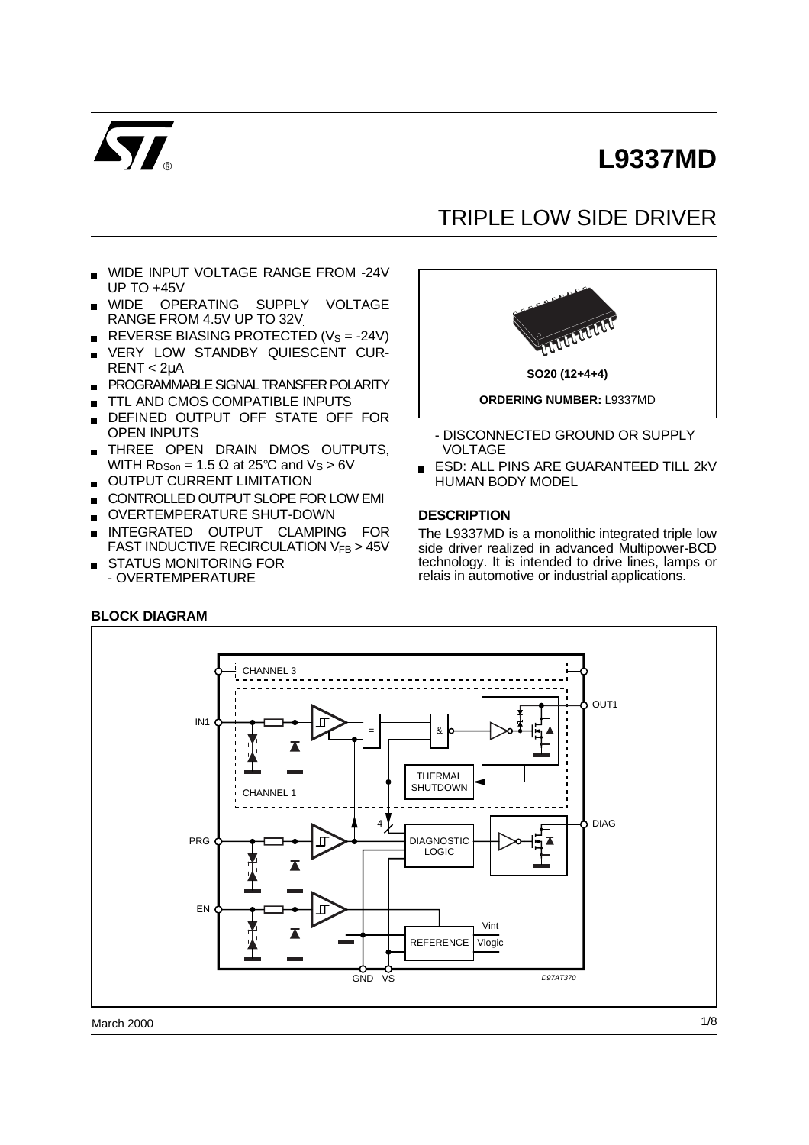

# **L9337MD**

## TRIPLE LOW SIDE DRIVER

- WIDE INPUT VOLTAGE RANGE FROM -24V UP TO +45V
- WIDE OPERATING SUPPLY VOLTAGE RANGE FROM 4.5V UP TO 32V
- REVERSE BIASING PROTECTED ( $V_s = -24V$ )
- VERY LOW STANDBY QUIESCENT CUR-RENT < 2µA
- **PROGRAMMABLE SIGNAL TRANSFER POLARITY**
- TTL AND CMOS COMPATIBLE INPUTS
- DEFINED OUTPUT OFF STATE OFF FOR OPEN INPUTS
- THREE OPEN DRAIN DMOS OUTPUTS,  $\blacksquare$ WITH  $R_{DSon}$  = 1.5  $\Omega$  at 25°C and V<sub>S</sub> > 6V
- OUTPUT CURRENT LIMITATION  $\blacksquare$
- CONTROLLED OUTPUT SLOPE FOR LOW EMI
- OVERTEMPERATURE SHUT-DOWN
- INTEGRATED OUTPUT CLAMPING FOR FAST INDUCTIVE RECIRCULATION VFB > 45V
- STATUS MONITORING FOR
	- OVERTEMPERATURE

**BLOCK DIAGRAM**



**SO20 (12+4+4) ORDERING NUMBER:** L9337MD

- DISCONNECTED GROUND OR SUPPLY VOLTAGE
- **ESD: ALL PINS ARE GUARANTEED TILL 2kV** HUMAN BODY MODEL

#### **DESCRIPTION**

The L9337MD is a monolithic integrated triple low side driver realized in advanced Multipower-BCD technology. It is intended to drive lines, lamps or relais in automotive or industrial applications.

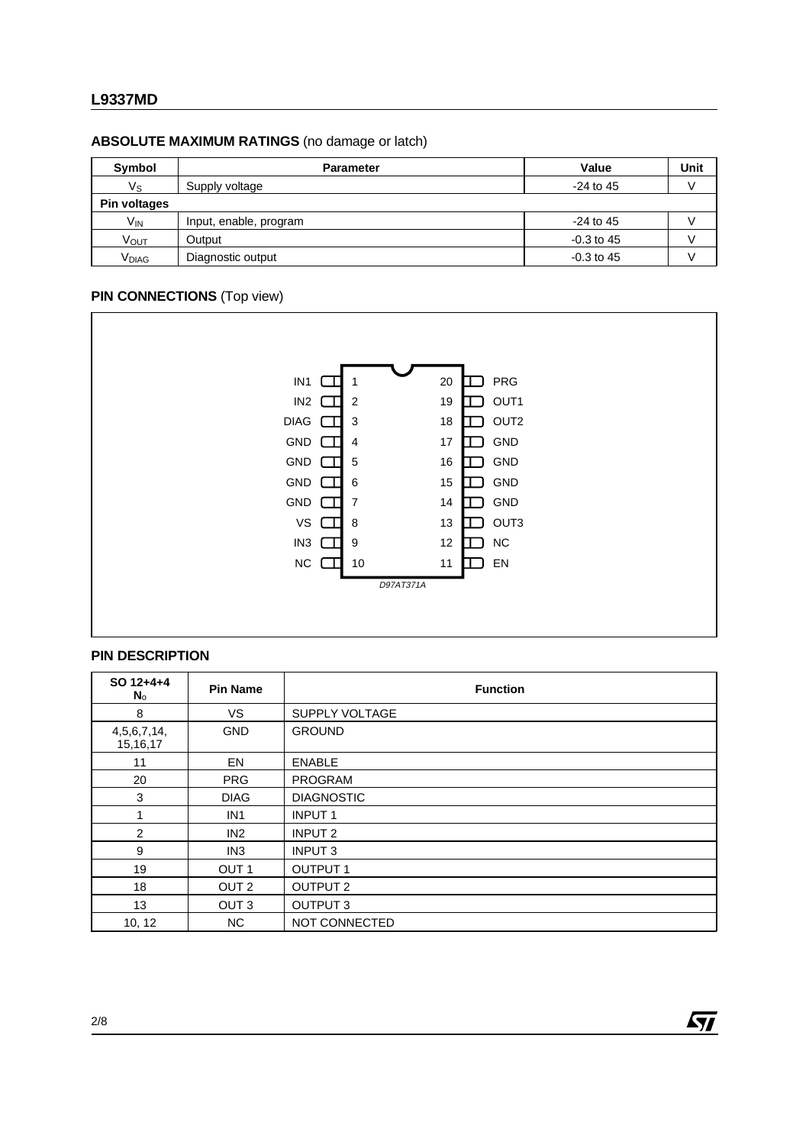#### **L9337MD**

## **ABSOLUTE MAXIMUM RATINGS** (no damage or latch)

| Symbol            | <b>Parameter</b>       | Value        | Unit |
|-------------------|------------------------|--------------|------|
| Vs                | Supply voltage         | $-24$ to 45  |      |
| Pin voltages      |                        |              |      |
| $V_{IN}$          | Input, enable, program | $-24$ to 45  |      |
| VOUT              | Output                 | $-0.3$ to 45 |      |
| V <sub>DIAG</sub> | Diagnostic output      | $-0.3$ to 45 |      |

#### **PIN CONNECTIONS** (Top view)



#### **PIN DESCRIPTION**

| SO 12+4+4<br>No             | <b>Pin Name</b>  | <b>Function</b>    |  |  |  |
|-----------------------------|------------------|--------------------|--|--|--|
| 8                           | VS.              | SUPPLY VOLTAGE     |  |  |  |
| 4, 5, 6, 7, 14,<br>15,16,17 | <b>GND</b>       | <b>GROUND</b>      |  |  |  |
| 11                          | <b>EN</b>        | <b>ENABLE</b>      |  |  |  |
| 20                          | <b>PRG</b>       | <b>PROGRAM</b>     |  |  |  |
| 3                           | <b>DIAG</b>      | <b>DIAGNOSTIC</b>  |  |  |  |
| 1                           | IN <sub>1</sub>  | <b>INPUT1</b>      |  |  |  |
| 2                           | IN2              | INPUT <sub>2</sub> |  |  |  |
| 9                           | IN <sub>3</sub>  | INPUT 3            |  |  |  |
| 19                          | OUT <sub>1</sub> | <b>OUTPUT 1</b>    |  |  |  |
| 18                          | OUT <sub>2</sub> | <b>OUTPUT 2</b>    |  |  |  |
| 13                          | OUT <sub>3</sub> | <b>OUTPUT 3</b>    |  |  |  |
| 10, 12                      | NC.              | NOT CONNECTED      |  |  |  |

 $\sqrt{27}$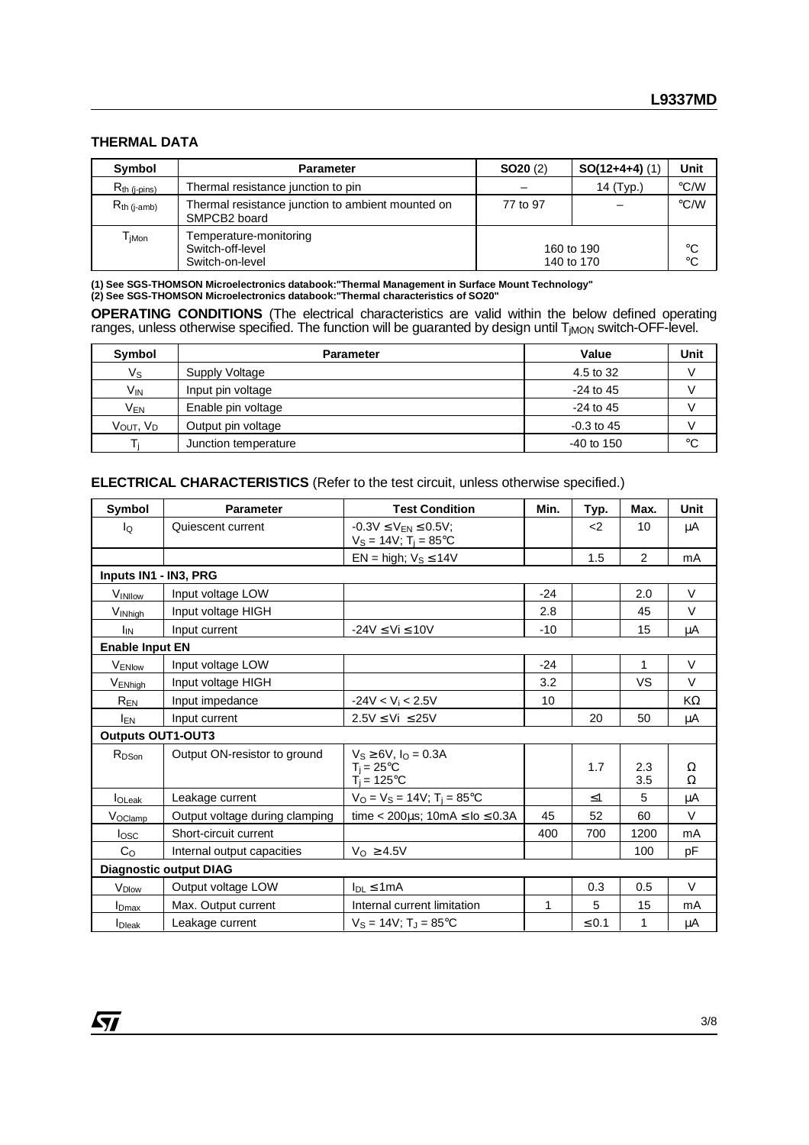#### **THERMAL DATA**

| Symbol                        | <b>Parameter</b>                                                              | SO20(2)                  | $SO(12+4+4)$ (1) | Unit              |
|-------------------------------|-------------------------------------------------------------------------------|--------------------------|------------------|-------------------|
| $R_{th}$ (j-pins)             | Thermal resistance junction to pin                                            |                          | 14 (Typ.)        | $\degree$ C/W     |
| $R_{th (j-amb)}$              | Thermal resistance junction to ambient mounted on<br>SMPCB <sub>2</sub> board | 77 to 97                 |                  | $\degree$ C/W     |
| ${\mathsf T}_{\mathsf{jMon}}$ | Temperature-monitoring<br>Switch-off-level<br>Switch-on-level                 | 160 to 190<br>140 to 170 |                  | °C<br>$^{\circ}C$ |

**(1) See SGS-THOMSON Microelectronics databook:"Thermal Management in Surface Mount Technology" (2) See SGS-THOMSON Microelectronics databook:"Thermal characteristics of SO20"**

**OPERATING CONDITIONS** (The electrical characteristics are valid within the below defined operating ranges, unless otherwise specified. The function will be guaranted by design until T<sub>jMON</sub> switch-OFF-level.

| Symbol               | <b>Parameter</b>     | Value        | Unit |
|----------------------|----------------------|--------------|------|
| Vs                   | Supply Voltage       | 4.5 to 32    |      |
| Vin                  | Input pin voltage    | $-24$ to 45  |      |
| V <sub>EN</sub>      | Enable pin voltage   | $-24$ to 45  |      |
| Vout, V <sub>D</sub> | Output pin voltage   | $-0.3$ to 45 |      |
|                      | Junction temperature | $-40$ to 150 | °C   |

**ELECTRICAL CHARACTERISTICS** (Refer to the test circuit, unless otherwise specified.)

| Symbol                   | <b>Test Condition</b><br><b>Parameter</b>                                                 |                                                                      | Min.  | Typ.       | Max.         | <b>Unit</b> |
|--------------------------|-------------------------------------------------------------------------------------------|----------------------------------------------------------------------|-------|------------|--------------|-------------|
| Ιo                       | $-0.3V \le V_{FN} \le 0.5V$ ;<br>Quiescent current<br>$V_S = 14V$ ; T <sub>i</sub> = 85°C |                                                                      |       | -2         | 10           | μA          |
|                          |                                                                                           | $EN = high$ ; $V_S \le 14V$                                          |       | 1.5        | 2            | mA          |
| Inputs IN1 - IN3, PRG    |                                                                                           |                                                                      |       |            |              |             |
| <b>VINIIOW</b>           | Input voltage LOW                                                                         |                                                                      | $-24$ |            | 2.0          | V           |
| VINhigh                  | Input voltage HIGH                                                                        |                                                                      | 2.8   |            | 45           | $\vee$      |
| I <sub>IN</sub>          | Input current                                                                             | $-24V \leq Vi \leq 10V$                                              | $-10$ |            | 15           | μA          |
| <b>Enable Input EN</b>   |                                                                                           |                                                                      |       |            |              |             |
| VENIow                   | Input voltage LOW                                                                         |                                                                      | $-24$ |            | $\mathbf{1}$ | $\vee$      |
| VENhigh                  | Input voltage HIGH                                                                        |                                                                      | 3.2   |            | VS           | $\vee$      |
| $R_{\underline{EN}}$     | Input impedance                                                                           | $-24V < Vi < 2.5V$                                                   | 10    |            |              | KΩ          |
| I <sub>EN</sub>          | Input current                                                                             | $2.5V \leq Vi \leq 25V$                                              |       | 20         | 50           | μA          |
| <b>Outputs OUT1-OUT3</b> |                                                                                           |                                                                      |       |            |              |             |
| R <sub>DSon</sub>        | Output ON-resistor to ground                                                              | $V_S \ge 6V$ , $I_Q = 0.3A$<br>$T_i = 25^{\circ}C$<br>$T_i = 125$ °C |       | 1.7        | 2.3<br>3.5   | Ω<br>Ω      |
| I <sub>OLeak</sub>       | Leakage current                                                                           | $V_O = V_S = 14V$ ; T <sub>i</sub> = 85°C                            |       | $\leq 1$   | 5            | μA          |
| Voclamp                  | Output voltage during clamping                                                            | time < 200 $\mu$ s; 10mA $\leq$ lo $\leq$ 0.3A                       | 45    | 52         | 60           | $\vee$      |
| <b>l</b> osc             | Short-circuit current                                                                     |                                                                      | 400   | 700        | 1200         | mA          |
| C <sub>O</sub>           | Internal output capacities                                                                | $V_{\text{O}} \geq 4.5V$                                             |       |            | 100          | рF          |
|                          | <b>Diagnostic output DIAG</b>                                                             |                                                                      |       |            |              |             |
| V <sub>Dlow</sub>        | Output voltage LOW                                                                        | $I_{DL} \leq 1mA$                                                    |       | 0.3        | 0.5          | $\vee$      |
| $I_{Dmax}$               | Max. Output current                                                                       | Internal current limitation                                          | 1     | 5          | 15           | mA          |
| <b>I</b> Dieak           | Leakage current                                                                           | $V_S = 14V$ ; $T_I = 85^{\circ}C$                                    |       | $\leq 0.1$ | 1            | μA          |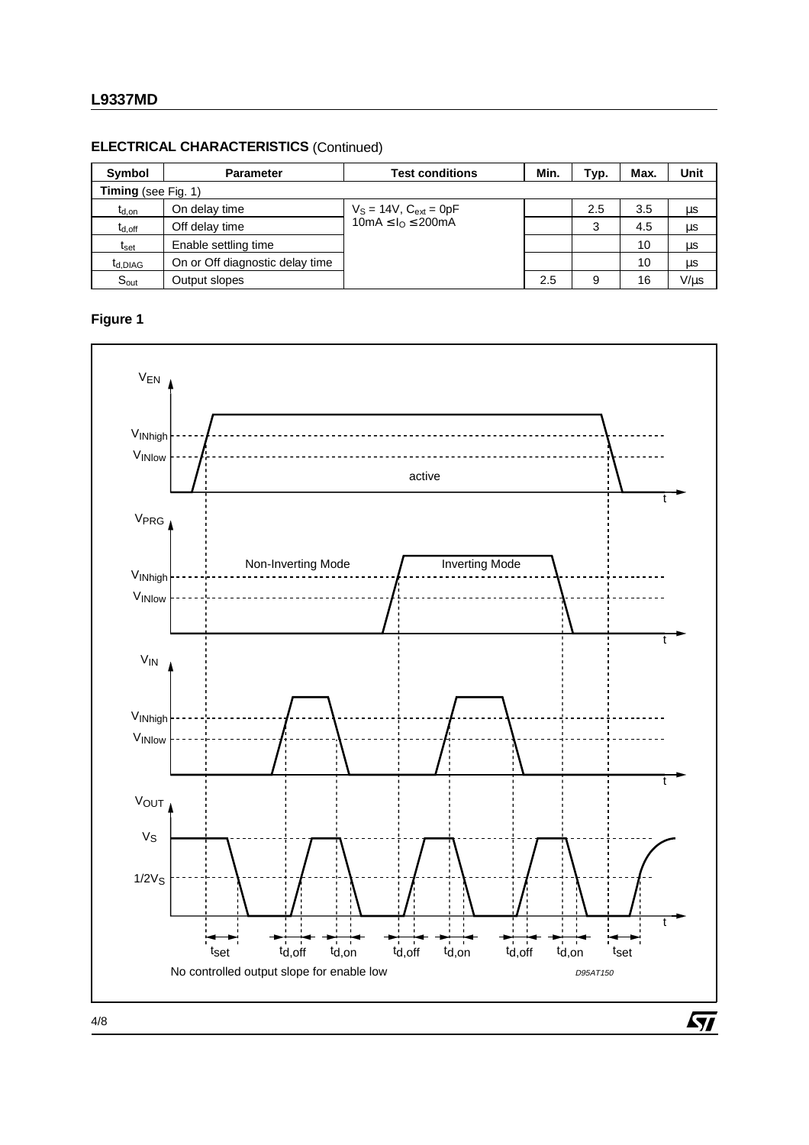#### **ELECTRICAL CHARACTERISTICS** (Continued)

| Symbol               | <b>Parameter</b>                | <b>Test conditions</b>        | Min. | Typ. | Max. | <b>Unit</b> |
|----------------------|---------------------------------|-------------------------------|------|------|------|-------------|
| Timing (see Fig. 1)  |                                 |                               |      |      |      |             |
| $t_{d,on}$           | On delay time                   | $V_S = 14V$ , $C_{ext} = 0pF$ |      | 2.5  | 3.5  | μs          |
| $t_{d,off}$          | Off delay time                  | $10mA \leq I_0 \leq 200mA$    |      | 3    | 4.5  | μs          |
| t <sub>set</sub>     | Enable settling time            |                               |      |      | 10   | μs          |
| t <sub>d</sub> .DIAG | On or Off diagnostic delay time |                               |      |      | 10   | μs          |
| $S_{\text{out}}$     | Output slopes                   |                               | 2.5  | 9    | 16   | $V/\mu s$   |

## **Figure 1**



4/8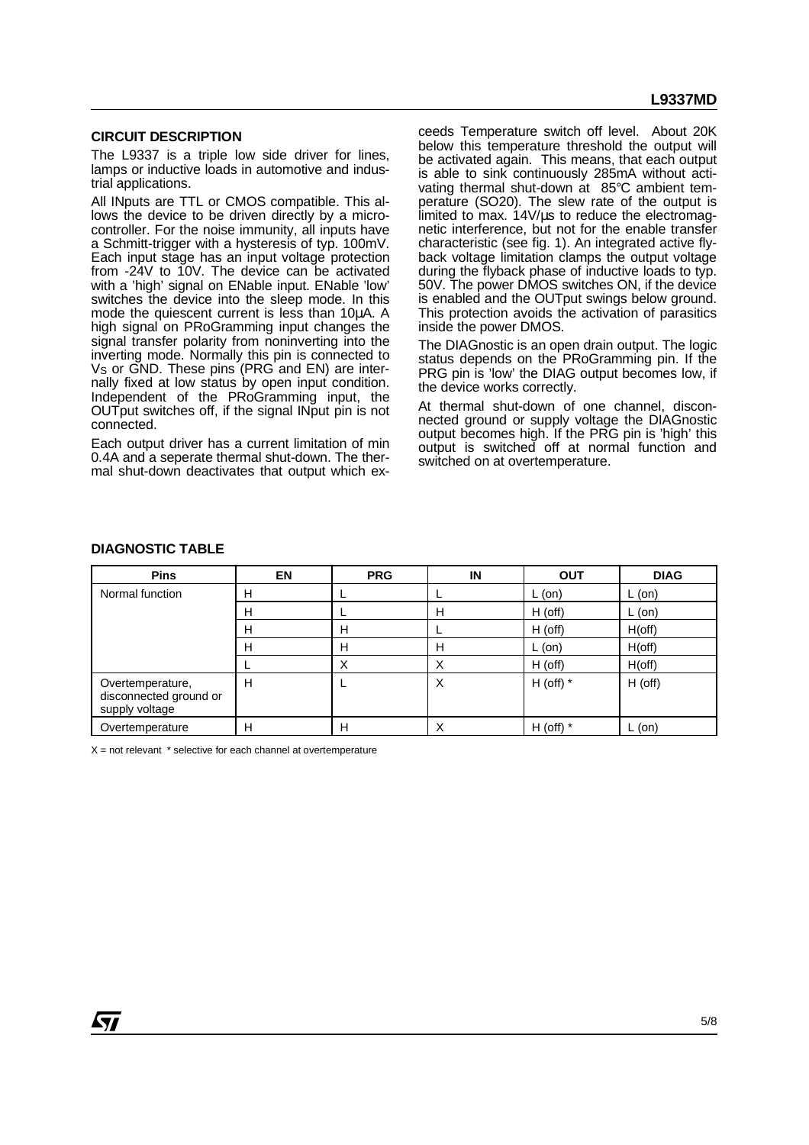#### **CIRCUIT DESCRIPTION**

The L9337 is a triple low side driver for lines, lamps or inductive loads in automotive and industrial applications.

All INputs are TTL or CMOS compatible. This allows the device to be driven directly by a microcontroller. For the noise immunity, all inputs have a Schmitt-trigger with a hysteresis of typ. 100mV. Each input stage has an input voltage protection from -24V to 10V. The device can be activated with a 'high' signal on ENable input. ENable 'low' switches the device into the sleep mode. In this mode the quiescent current is less than 10µA. A high signal on PRoGramming input changes the signal transfer polarity from noninverting into the inverting mode. Normally this pin is connected to V<sub>S</sub> or GND. These pins (PRG and EN) are internally fixed at low status by open input condition. Independent of the PRoGramming input, the OUTput switches off, if the signal INput pin is not connected.

Each output driver has a current limitation of min 0.4A and a seperate thermal shut-down. The thermal shut-down deactivates that output which exceeds Temperature switch off level. About 20K below this temperature threshold the output will be activated again. This means, that each output is able to sink continuously 285mA without activating thermal shut-down at 85°C ambient temperature (SO20). The slew rate of the output is limited to max. 14V/us to reduce the electromagnetic interference, but not for the enable transfer characteristic (see fig. 1). An integrated active flyback voltage limitation clamps the output voltage during the flyback phase of inductive loads to typ. 50V. The power DMOS switches ON, if the device is enabled and the OUTput swings below ground. This protection avoids the activation of parasitics inside the power DMOS.

The DIAGnostic is an open drain output. The logic status depends on the PRoGramming pin. If the PRG pin is 'low' the DIAG output becomes low, if the device works correctly.

At thermal shut-down of one channel, disconnected ground or supply voltage the DIAGnostic output becomes high. If the PRG pin is 'high' this output is switched off at normal function and switched on at overtemperature.

#### **DIAGNOSTIC TABLE**

| <b>Pins</b>                                                  | <b>EN</b> | <b>PRG</b> | IN | <b>OUT</b>  | <b>DIAG</b> |
|--------------------------------------------------------------|-----------|------------|----|-------------|-------------|
| Normal function                                              | н         |            |    | L (on)      | L (on)      |
|                                                              | н         |            | н  | H (off)     | L (on)      |
|                                                              |           | н          |    | H (off)     | H(off)      |
|                                                              | н         | н          | Н  | L (on)      | H(off)      |
|                                                              |           | X          | v  | H (off)     | H(off)      |
| Overtemperature,<br>disconnected ground or<br>supply voltage | н         |            | X  | H (off) $*$ | H (off)     |
| Overtemperature                                              | н         | н          | ⋏  | H (off) $*$ | L (on)      |

 $X =$  not relevant  $*$  selective for each channel at overtemperature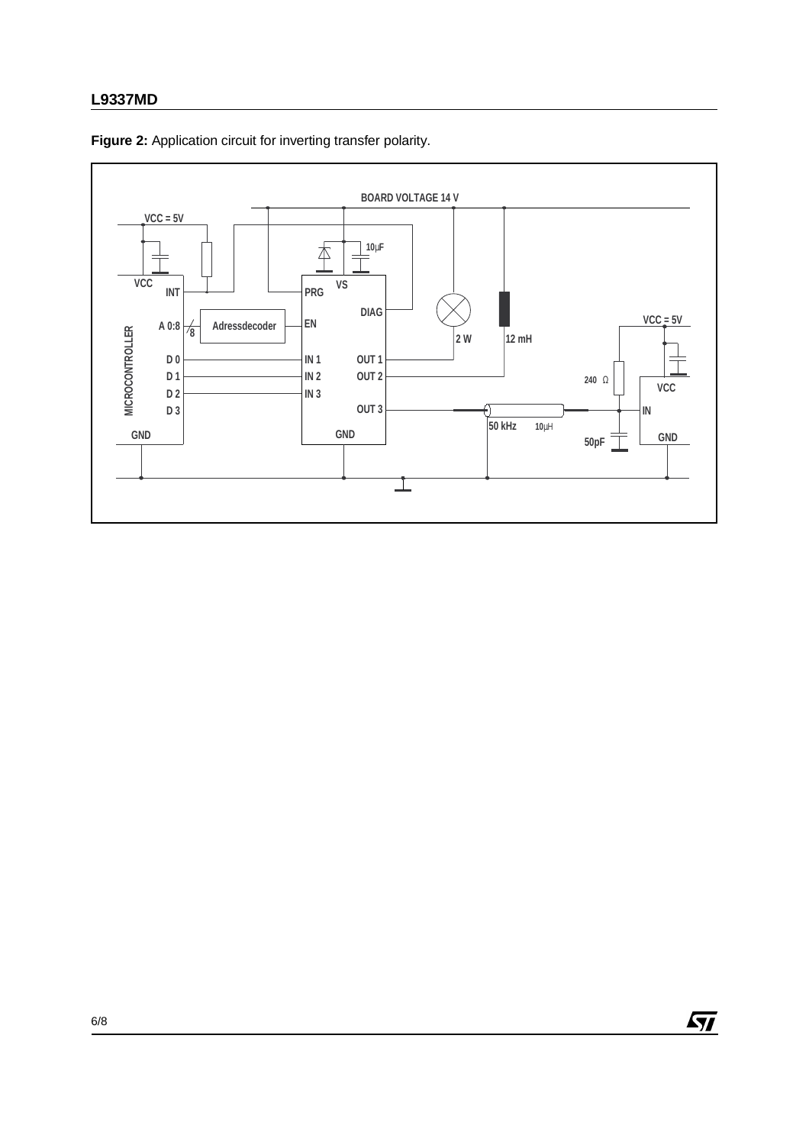## **L9337MD**



**Figure 2:** Application circuit for inverting transfer polarity.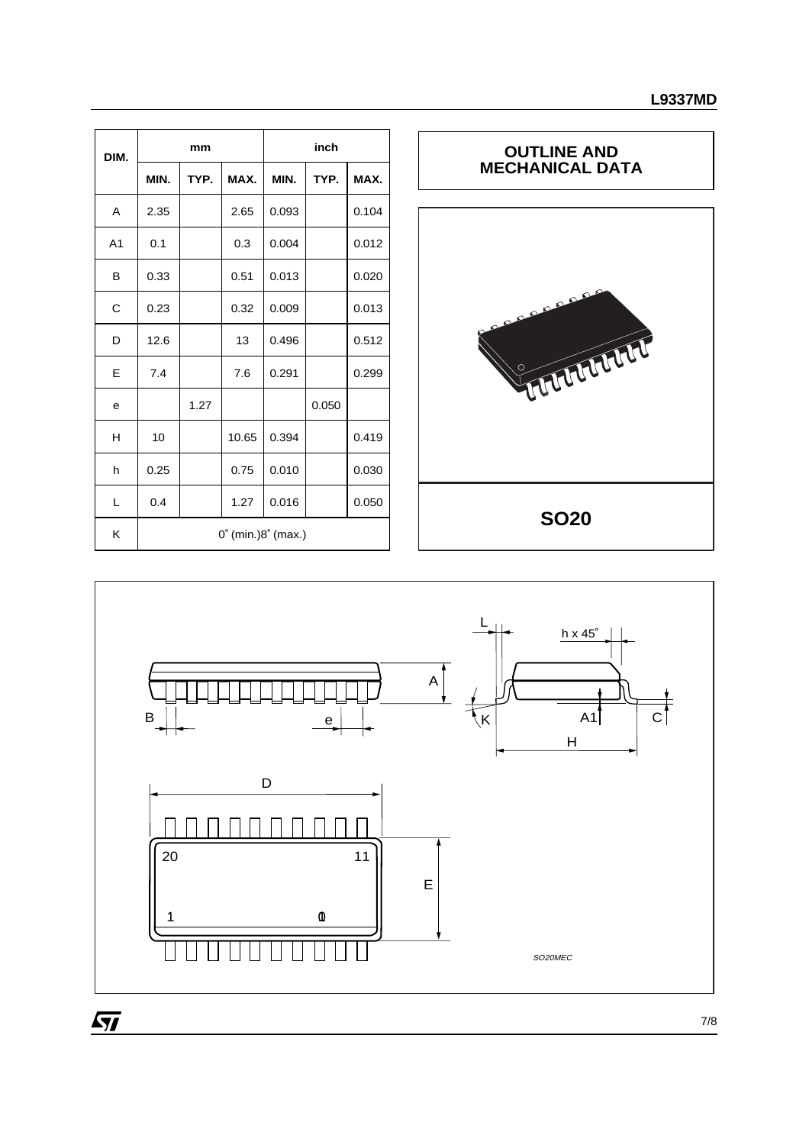| DIM.           | mm                                    |      |       | inch  |       |       |  |
|----------------|---------------------------------------|------|-------|-------|-------|-------|--|
|                | MIN.                                  | TYP. | MAX.  | MIN.  | TYP.  | MAX.  |  |
| A              | 2.35                                  |      | 2.65  | 0.093 |       | 0.104 |  |
| A <sub>1</sub> | 0.1                                   |      | 0.3   | 0.004 |       | 0.012 |  |
| В              | 0.33                                  |      | 0.51  | 0.013 |       | 0.020 |  |
| C              | 0.23                                  |      | 0.32  | 0.009 |       | 0.013 |  |
| D              | 12.6                                  |      | 13    | 0.496 |       | 0.512 |  |
| Е              | 7.4                                   |      | 7.6   | 0.291 |       | 0.299 |  |
| e              |                                       | 1.27 |       |       | 0.050 |       |  |
| н              | 10                                    |      | 10.65 | 0.394 |       | 0.419 |  |
| h              | 0.25                                  |      | 0.75  | 0.010 |       | 0.030 |  |
| L              | 0.4                                   |      | 1.27  | 0.016 |       | 0.050 |  |
| Κ              | $0^{\circ}$ (min.) $8^{\circ}$ (max.) |      |       |       |       |       |  |





 $\overline{SI}$